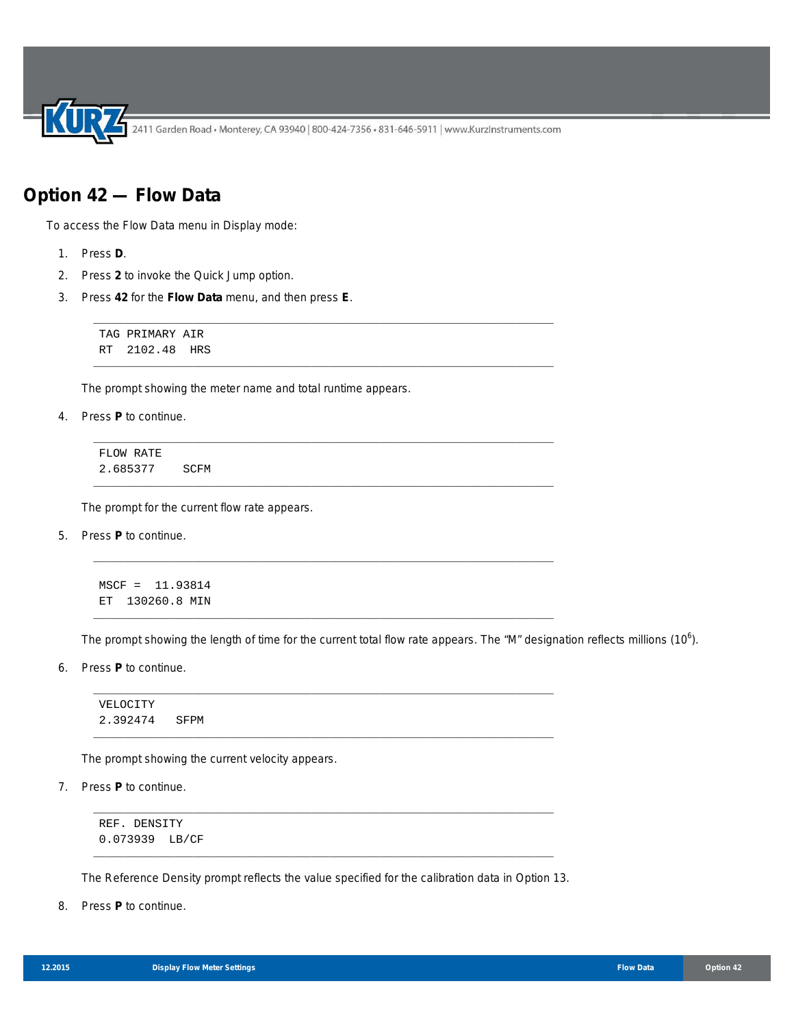2411 Garden Road • Monterey, CA 93940 | 800-424-7356 • 831-646-5911 | www.KurzInstruments.com

\_\_\_\_\_\_\_\_\_\_\_\_\_\_\_\_\_\_\_\_\_\_\_\_\_\_\_\_\_\_\_\_\_\_\_\_\_\_\_\_\_\_\_\_\_\_\_\_\_\_\_\_\_\_\_\_\_\_\_\_\_\_\_\_\_\_\_\_\_\_\_\_\_\_

\_\_\_\_\_\_\_\_\_\_\_\_\_\_\_\_\_\_\_\_\_\_\_\_\_\_\_\_\_\_\_\_\_\_\_\_\_\_\_\_\_\_\_\_\_\_\_\_\_\_\_\_\_\_\_\_\_\_\_\_\_\_\_\_\_\_\_\_\_\_\_\_\_\_

\_\_\_\_\_\_\_\_\_\_\_\_\_\_\_\_\_\_\_\_\_\_\_\_\_\_\_\_\_\_\_\_\_\_\_\_\_\_\_\_\_\_\_\_\_\_\_\_\_\_\_\_\_\_\_\_\_\_\_\_\_\_\_\_\_\_\_\_\_\_\_\_\_\_

\_\_\_\_\_\_\_\_\_\_\_\_\_\_\_\_\_\_\_\_\_\_\_\_\_\_\_\_\_\_\_\_\_\_\_\_\_\_\_\_\_\_\_\_\_\_\_\_\_\_\_\_\_\_\_\_\_\_\_\_\_\_\_\_\_\_\_\_\_\_\_\_\_\_

\_\_\_\_\_\_\_\_\_\_\_\_\_\_\_\_\_\_\_\_\_\_\_\_\_\_\_\_\_\_\_\_\_\_\_\_\_\_\_\_\_\_\_\_\_\_\_\_\_\_\_\_\_\_\_\_\_\_\_\_\_\_\_\_\_\_\_\_\_\_\_\_\_\_

\_\_\_\_\_\_\_\_\_\_\_\_\_\_\_\_\_\_\_\_\_\_\_\_\_\_\_\_\_\_\_\_\_\_\_\_\_\_\_\_\_\_\_\_\_\_\_\_\_\_\_\_\_\_\_\_\_\_\_\_\_\_\_\_\_\_\_\_\_\_\_\_\_\_

\_\_\_\_\_\_\_\_\_\_\_\_\_\_\_\_\_\_\_\_\_\_\_\_\_\_\_\_\_\_\_\_\_\_\_\_\_\_\_\_\_\_\_\_\_\_\_\_\_\_\_\_\_\_\_\_\_\_\_\_\_\_\_\_\_\_\_\_\_\_\_\_\_\_

\_\_\_\_\_\_\_\_\_\_\_\_\_\_\_\_\_\_\_\_\_\_\_\_\_\_\_\_\_\_\_\_\_\_\_\_\_\_\_\_\_\_\_\_\_\_\_\_\_\_\_\_\_\_\_\_\_\_\_\_\_\_\_\_\_\_\_\_\_\_\_\_\_\_

## **Option 42 — Flow Data**

To access the Flow Data menu in Display mode:

- 1. Press **D**.
- 2. Press **2** to invoke the Quick Jump option.
- 3. Press **42** for the **Flow Data** menu, and then press **E**.

TAG PRIMARY AIR RT 2102.48 HRS

The prompt showing the meter name and total runtime appears.

4. Press **P** to continue.

FLOW RATE 2.685377 SCFM

The prompt for the current flow rate appears.

5. Press **P** to continue.

MSCF = 11.93814 ET 130260.8 MIN

The prompt showing the length of time for the current total flow rate appears. The "M" designation reflects millions (10<sup>6</sup>).

6. Press **P** to continue.

VELOCITY 2.392474 SFPM

The prompt showing the current velocity appears.

7. Press **P** to continue.

REF. DENSITY 0.073939 LB/CF

\_\_\_\_\_\_\_\_\_\_\_\_\_\_\_\_\_\_\_\_\_\_\_\_\_\_\_\_\_\_\_\_\_\_\_\_\_\_\_\_\_\_\_\_\_\_\_\_\_\_\_\_\_\_\_\_\_\_\_\_\_\_\_\_\_\_\_\_\_\_\_\_\_\_ The Reference Density prompt reflects the value specified for the calibration data in Option 13.

\_\_\_\_\_\_\_\_\_\_\_\_\_\_\_\_\_\_\_\_\_\_\_\_\_\_\_\_\_\_\_\_\_\_\_\_\_\_\_\_\_\_\_\_\_\_\_\_\_\_\_\_\_\_\_\_\_\_\_\_\_\_\_\_\_\_\_\_\_\_\_\_\_\_

8. Press **P** to continue.